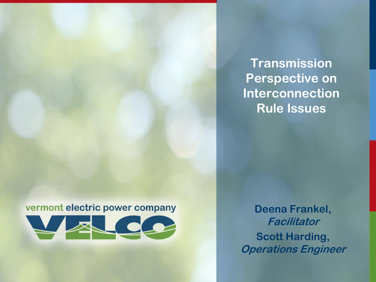**Transmission Perspective on Interconnection Rule Issues**

#### vermont electric power company



**Deena Frankel, Facilitator Scott Harding, Operations Engineer**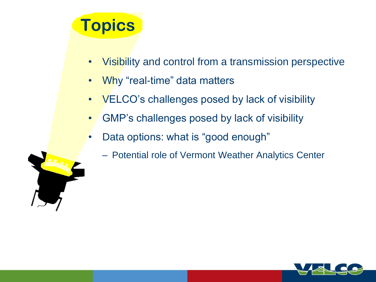# **Topics**

- Visibility and control from a transmission perspective
- Why "real-time" data matters
- VELCO's challenges posed by lack of visibility
- GMP's challenges posed by lack of visibility
- Data options: what is "good enough"
	- Potential role of Vermont Weather Analytics Center

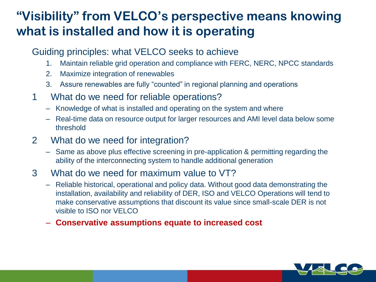### **"Visibility" from VELCO's perspective means knowing what is installed and how it is operating**

#### Guiding principles: what VELCO seeks to achieve

- 1. Maintain reliable grid operation and compliance with FERC, NERC, NPCC standards
- 2. Maximize integration of renewables
- 3. Assure renewables are fully "counted" in regional planning and operations
- 1 What do we need for reliable operations?
	- Knowledge of what is installed and operating on the system and where
	- Real-time data on resource output for larger resources and AMI level data below some threshold
- 2 What do we need for integration?
	- Same as above plus effective screening in pre-application & permitting regarding the ability of the interconnecting system to handle additional generation
- 3 What do we need for maximum value to VT?
	- Reliable historical, operational and policy data. Without good data demonstrating the installation, availability and reliability of DER, ISO and VELCO Operations will tend to make conservative assumptions that discount its value since small-scale DER is not visible to ISO nor VELCO
	- **Conservative assumptions equate to increased cost**

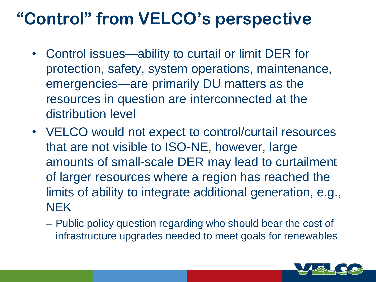## **"Control" from VELCO's perspective**

- Control issues—ability to curtail or limit DER for protection, safety, system operations, maintenance, emergencies—are primarily DU matters as the resources in question are interconnected at the distribution level
- VELCO would not expect to control/curtail resources that are not visible to ISO-NE, however, large amounts of small-scale DER may lead to curtailment of larger resources where a region has reached the limits of ability to integrate additional generation, e.g., NEK
	- Public policy question regarding who should bear the cost of infrastructure upgrades needed to meet goals for renewables

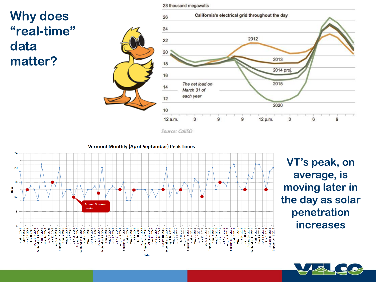### **Why does "real-time" data matter?**



Source: CallSO

**Vermont Monthly (April-September) Peak Times** 24  $20$ 16 à  $12$ **Annual Summer** neaks 주<br>이 이 시<br>아이 이 시<br>시<br>비 April<br>May 2<br>June 1 mber<br>April 2<br>May 2<br>Link 2<br>Link 2<br>April 2<br>May 2<br>May 2<br>Link 2 April 1992<br>January 2006<br>Harry 2006<br>April 1994<br>April 1994<br>April 1994<br>April 1994<br>April 1994 eust<br>April<br>Anglisher<br>Albert Start<br>Anglisher<br>Anglisher Septembe ğ August Date

**VT's peak, on average, is moving later in the day as solar penetration increases** 



28 thousand megawatts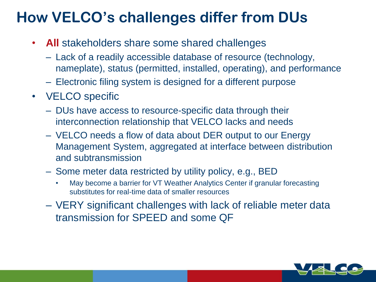### **How VELCO's challenges differ from DUs**

- **All** stakeholders share some shared challenges
	- Lack of a readily accessible database of resource (technology, nameplate), status (permitted, installed, operating), and performance
	- Electronic filing system is designed for a different purpose
- VELCO specific
	- DUs have access to resource-specific data through their interconnection relationship that VELCO lacks and needs
	- VELCO needs a flow of data about DER output to our Energy Management System, aggregated at interface between distribution and subtransmission
	- Some meter data restricted by utility policy, e.g., BED
		- May become a barrier for VT Weather Analytics Center if granular forecasting substitutes for real-time data of smaller resources
	- VERY significant challenges with lack of reliable meter data transmission for SPEED and some QF

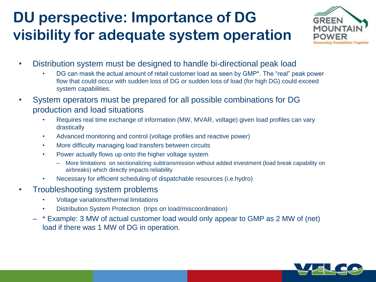### **DU perspective: Importance of DG visibility for adequate system operation**



- Distribution system must be designed to handle bi-directional peak load
	- DG can mask the actual amount of retail customer load as seen by GMP\*. The "real" peak power flow that could occur with sudden loss of DG or sudden loss of load (for high DG) could exceed system capabilities.
- System operators must be prepared for all possible combinations for DG production and load situations
	- Requires real time exchange of information (MW, MVAR, voltage) given load profiles can vary drastically
	- Advanced monitoring and control (voltage profiles and reactive power)
	- More difficulty managing load transfers between circuits
	- Power actually flows up onto the higher voltage system
		- More limitations on sectionalizing subtransmission without added investment (load break capability on airbreaks) which directly impacts reliability
	- Necessary for efficient scheduling of dispatchable resources (i.e.hydro)
- Troubleshooting system problems
	- Voltage variations/thermal limitations
	- Distribution System Protection (trips on load/miscoordination)
	- \* Example: 3 MW of actual customer load would only appear to GMP as 2 MW of (net) load if there was 1 MW of DG in operation.

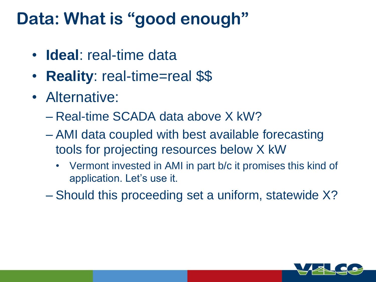## **Data: What is "good enough"**

- **Ideal**: real-time data
- **Reality**: real-time=real \$\$
- Alternative:
	- Real-time SCADA data above X kW?
	- AMI data coupled with best available forecasting tools for projecting resources below X kW
		- Vermont invested in AMI in part b/c it promises this kind of application. Let's use it.
	- Should this proceeding set a uniform, statewide X?